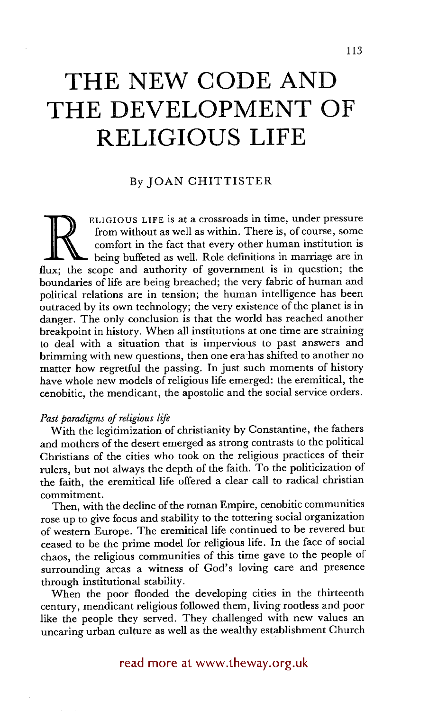# **THE NEW CODE AND THE DEVELOPMENT OF RELIGIOUS LIFE**

## By JOAN CHITTISTER

ELIGIOUS LIFE is at a crossroads in time, under pressure<br>from without as well as within. There is, of course, some<br>comfort in the fact that every other human institution is<br>lux: the scope and authority of government is in from without as well as within. There is, of course, some comfort in the fact that every other human institution is being buffeted as well. Role definitions in marriage are in flux; the scope and authority of government is in question; the boundaries of life are being breached; the very fabric of human and political relations are in tension; the human intelligence has been outraced by its own technology; the very existence of the planet is in danger. The only conclusion is that the world has reached another breakpoint in history. When all institutions at one time are straining to deal with a situation that is impervious to past answers and brimming with new questions, then one era'has shifted to another no matter how regretful the passing. In just such moments of history have whole new models of religious life emerged: the eremitical, the cenobitic, the mendicant, the apostolic and the social service orders.

### *Past paradigms of religious life*

With the legitimization of christianity by Constantine, the fathers and mothers of the desert emerged as strong contrasts to the political Christians of the cities who took on the religious practices of their rulers, but not always the depth of the faith. To the politicization of the faith, the eremitical life offered a clear call to radical christian commitment.

Then, with the decline of the roman Empire, cenobitic communities rose up to give focus and stability to the tottering social organization of western Europe. The eremitical life continued to be revered but ceased to be the prime model for religious life. In the face of social chaos, the religious communities of this time gave to the people of surrounding areas a witness of God's loving care and presence through institutional stability.

When the poor flooded the developing cities in the thirteenth century, mendicant religious followed them, living rootless and poor like the people they served. They challenged with new values an uncaring urban culture as well as the wealthy establishment Church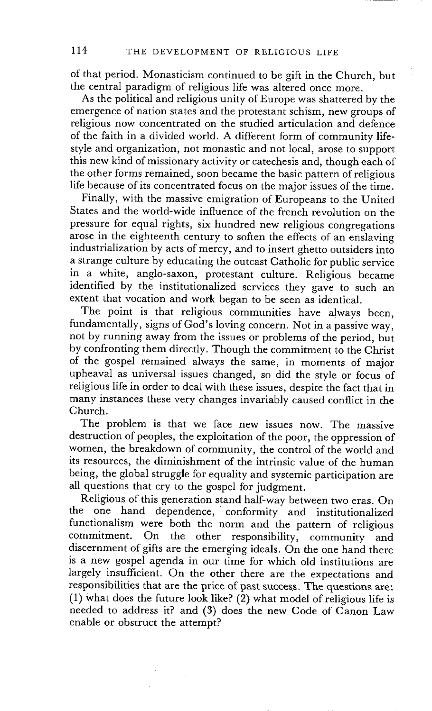of that period. Monasticism continued to be gift in the Church, but the central paradigm of religious life was altered once more.

As the political and religious unity of Europe was shattered by the emergence of nation states and the protestant schism, new groups of religious now concentrated on the studied articulation and defence of the faith in a divided world. A different form of community lifestyle and organization, not monastic and not local, arose to support this new kind of missionary activity or catechesis and, though each of the other forms remained, soon became the basic pattern of religious life because of its concentrated focus on the major issues of the time.

Finally, with the massive emigration of Europeans to the United States and the world-wide influence of the french revolution on the pressure for equal rights, six hundred new religious congregations arose in the eighteenth century to soften the effects of an enslaving industrialization by acts of mercy, and to insert ghetto outsiders into a strange culture by educating the outcast Catholic for public service in a white, anglo-saxon, protestant culture. Religious became identified by the institutionalized services they gave to such an extent that vocation and work began to be seen as identical.

The point is that religious communities have always been, fundamentally, signs of God's loving concern. Not in a passive way, not by running away from the issues or problems of the period, but by confronting them directly. Though the commitment to the Christ of the gospel remained always the same, in moments of major upheaval as universal issues changed, so did the style or focus of religious life in order to deal with these issues, despite the fact that in many instances these very changes invariably caused conflict in the Church.

The problem is that we face new issues now. The massive destruction of peoples, the exploitation of the poor, the oppression of women, the breakdown of community, the control of the world and its resources, the diminishment of the intrinsic value of the human being, the global struggle for equality and systemic participation are all questions that cry to the gospel for judgment.

Religious of this generation stand half-way between two eras. On the one hand dependence, conformity and institutionalized functionalism were both the norm and the pattern of religious commitment. On the other responsibility, community and discernment of gifts are the emerging ideals. On the one hand there is a new gospei agenda in our time for which old institutions are largely insufficient. On the other there are the expectations and responsibilities that are the price of past success. The questions are: (1) what does the future look like? (2) what model of religious life is needed to address it? and (3) does the new Code of Canon Law enable or obstruct the attempt?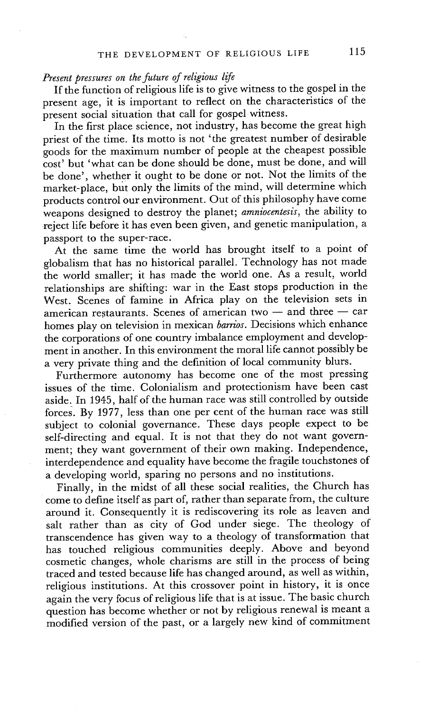### *Present pressures on the future of religious life*

If the function of religious life is to give witness to the gospel in the present age, it is important to reflect on the characteristics of the present social situation that call for gospel witness.

In the first place science, not industry, has become the great high priest of the time. Its motto is not 'the greatest number of desirable goods for the maximum number of people at the cheapest possible cost' but 'what can be done should be done, must be done, and will be done', whether it ought to be done or not. Not the limits of the market-place, but only the limits of the mind, will determine which products control our environment. Out of this philosophy have come weapons designed to destroy the planet; *arnniocentesis,* the ability to reject life before it has even been given, and genetic manipulation, a passport to the super-race.

At the same time the world has brought itself to a point of globalism that has no historical parallel. Technology has not made the world smaller; it has made the world one. As a result, world relationships are shifting: war in the East stops production in the West. Scenes of famine in Africa play on the television sets in american restaurants. Scenes of american two  $-$  and three  $-$  car homes play on television in mexican *barrios.* Decisions which enhance the corporations of one country imbalance employment and development in another. In this environment the moral life cannot possibly be a very private thing and the definition of local community blurs.

Furthermore autonomy has become one of the most pressing issues of the time. Colonialism and protectionism have been cast aside. In 1945, half of the human race was still controlled by outside forces. By 1977, less than one per cent of the human race was still subject to colonial governance. These days people expect to be self-directing and equal. It is not that they do not want government; they want government of their own making. Independence, interdependence and equality have become the fragile touchstones of a developing world, sparing no persons and no institutions.

Finally, in the midst of all these social realities, the Church has come to define itself as part of, rather than separate from, the culture around it. Consequently it is rediscovering its role as leaven and salt rather than as city of God under siege. The theology of transcendence has given way to a theology of transformation that has touched religious communities deeply. Above and beyond cosmetic changes, whole charisms are still in the process of being traced and tested because life has changed around, as well as within, religious institutions. At this crossover point in history, it is once again the very focus of religious life that is at issue. The basic church question has become whether or not by religious renewal is meant a modified version of the past, or a largely new kind of commitment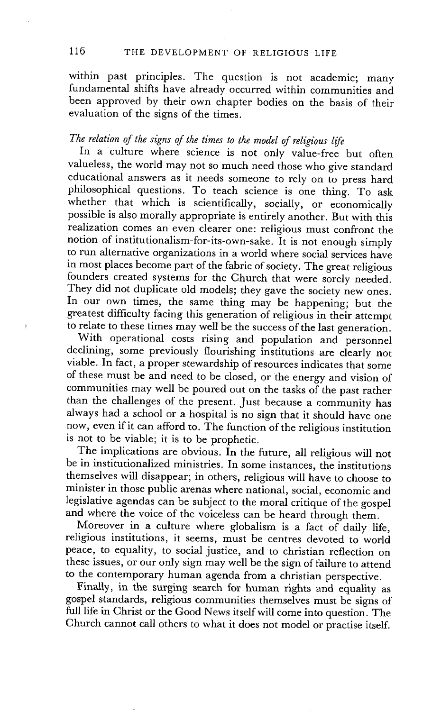within past principles. The question is not academic; many fundamental shifts have already occurred within communities and been approved by their own chapter bodies on the basis of their evaluation of the signs of the times.

# *The relation of the signs of the times to the model of religious life*

In a culture where science is not only value-free but often valueless, the world may not so much need those who give standard educational answers as it needs someone to rely on to press hard philosophical questions. To teach science is one thing. To ask whether that which is scientifically, socially, or economically possible is also morally appropriate is entirely another. But with this realization comes an even clearer one: religious must confront the notion of institutionalism-for-its-own-sake. It is not enough simply to run alternative organizations in a world where social services have in most places become part of the fabric of society. The great religious founders created systems for the Church that were sorely needed. They did not duplicate old models; they gave the society new ones. In our own times, the same thing may be happening; but the greatest difficulty facing this generation of religious in their attempt to relate to these times may well be the success of the last generation.

With operational costs rising and population and personnel declining, some previously flourishing institutions are clearly not viable. In fact, a proper stewardship of resources indicates that some of these must be and need to be closed, or the energy and vision of communities may well be poured out on the tasks of the past rather than the challenges of the present. Just because a community has always had a school or a hospital is no sign that it should have one now, even if it can afford to. The function of the religious institution is not to be viable; it is to be prophetic.

The implications are obvious. In the future, all religious will not be in institutionalized ministries. In some instances, the institutions themselves will disappear; in others, religious will have to choose to minister in those public arenas where national, social, economic and legislative agendas can be subject to the moral critique of the gospel and where the voice of the voiceless can be heard through them.

Moreover in a culture where globalism is a fact of daily life, religious institutions, it seems, must be centres devoted to world peace, to equality, to social justice, and to christian reflection on these issues, or our only sign may well be the sign of failure to attend to the contemporary human agenda from a christian perspective.

Finally, in the surging search for human rights and equality as gospel standards, religious communities themselves must be signs of full life in Christ or the Good News itself will come into question. The Church cannot call others to what it does not model or practise itself.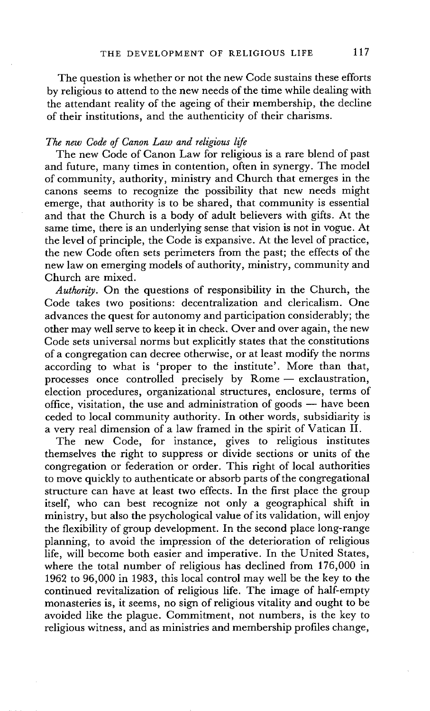The question is whether or not the new Code sustains these efforts by religious to attend to the new needs of the time while dealing with the attendant reality of the ageing of their membership, the decline of their institutions, and the authenticity of their charisms.

#### *The new Code of Canon Law and religious life*

The new Code of Canon Law for religious is a rare blend of past and future, many times in contention, often in synergy. The model of community, authority, ministry and Church that emerges in the canons seems to recognize the possibility that new needs might emerge, that authority is to be shared, that community is essential and that the Church is a body of adult believers with gifts. At the same time, there is an underlying sense that vision is not in vogue. At the level of principle, the Code is expansive. At the level of practice, the new Code often sets perimeters from the past; the effects of the new law on emerging models of authority, ministry, community and Church are mixed.

*Authority.* On the questions of responsibility in the Church, the Code takes two positions: decentralization and clericalism. One advances the quest for autonomy and participation considerably; the other may well serve to keep it in check. Over and over again, the new Code sets universal norms but explicitly states that the constitutions of a congregation can decree otherwise, or at least modify the norms according to what is 'proper to the institute'. More than that, processes once controlled precisely by  $R$ ome  $-$  exclaustration, election procedures, organizational structures, enclosure, terms of office, visitation, the use and administration of goods  $-$  have been ceded to local community authority. In other words, subsidiarity is a very real dimension of a law framed in the spirit of Vatican II.

The new Code, for instance, gives to religious institutes themselves the right to suppress or divide sections or units of the congregation or federation or order. This right of local authorities to move quickly to authenticate or absorb parts of the congregational structure can have at least two effects. In the first place the group itself, who can best recognize not only a geographical shift in ministry, but also the psychological value of its validation, will enjoy the flexibility of group development. In the second place long-range planning, to avoid the impression of the deterioration of religious life, will become both easier and imperative. In the United States, where the total number of religious has declined from 176,000 in 1962 to 96,000 in 1983, this local control may well be the key to the continued revitalization of religious life. The image of half-empty monasteries is, it seems, no sign of religious vitality and ought to be avoided like the plague. Commitment, not numbers, is the key to religious witness, and as ministries and membership profiles change,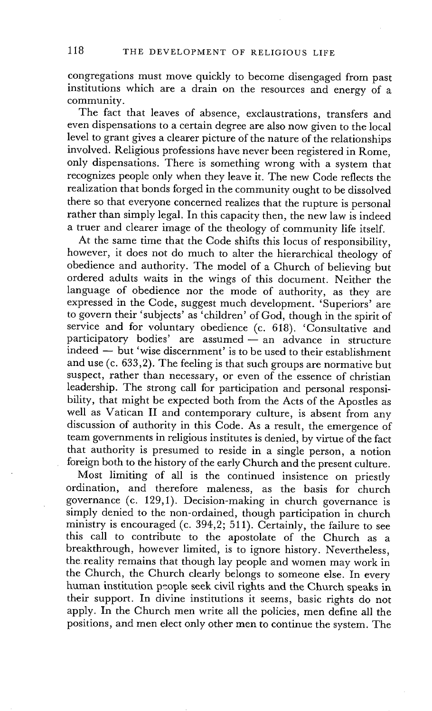congregations must move quickly to become disengaged from past institutions which are a drain on the resources and energy of a community.

The fact that leaves of absence, exclaustrations, transfers and even dispensations to a certain degree are also now given to the local level to grant gives a clearer picture of the nature of the relationships involved. Religious professions have never been registered in Rome, only dispensations. There is something wrong with a system that recognizes people only when they leave it. The new Code reflects the realization that bonds forged in the community ought to be dissolved there so that everyone concerned realizes that the rupture is personal rather than simply legal. In this capacity then, the new law is indeed a truer and clearer image of the theology of community life itself.

At the same time that the Code shifts this locus of responsibility, however, it does not do much to alter the hierarchical theology of obedience and authority. The model of a Church of believing but ordered adults waits in the wings of this document. Neither the language of obedience nor the mode of authority, as they are expressed in the Code, suggest much development. 'Superiors' are to govern their 'subjects' as 'children' of God, though in the spirit of service and for voluntary obedience (c. 618). 'Consultative and participatory bodies' are assumed - an advance in structure  $i$ ndeed  $-$  but 'wise discernment' is to be used to their establishment and use (c. 633,2). The feeling is that such groups are normative but suspect, rather than necessary, or even of the essence of christian leadership. The strong call for participation and personal responsibility, that might be expected both from the Acts of the Apostles as well as Vatican II and contemporary culture, is absent from any discussion of authority in this Code. As a result, the emergence of team governments in religious institutes is denied, by virtue of the fact that authority is presumed to reside in a single person, a notion foreign both to the history of the early Church and the present culture.

Most limiting of all is the continued insistence on priestly ordination, and therefore maleness, as the basis for church governance (c. 129,1). Decision-making in church governance is simply denied to the non-ordained, though participation in church ministry is encouraged (c. 394,2; 511). Certainly, the tailure to see this call to contribute to the apostolate of the Church as a breakthrough, however limited, is to ignore history. Nevertheless, the reality remains that though lay people and women may work in the Church, the Church clearly belongs to someone else. In every human institution people seek civil rights and the Church speaks in their support. In divine institutions it seems, basic rights do not apply. In the Church men write all the policies, men define all the positions, and men elect only other men to continue the system. The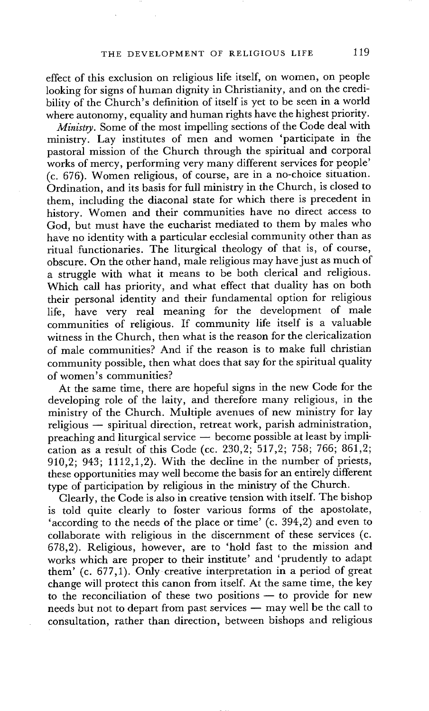effect of this exclusion on religious life itself, on women, on people looking for signs of human dignity in Christianity, and on the credibility of the Church's definition of itself is yet to be seen in a world where autonomy, equality and human rights have the highest priority.

*Ministry.* Some of the most impelling sections of the Code deal with ministry. Lay institutes of men and women 'participate in the pastoral mission of the Church through the spiritual and corporal works of mercy, performing very many different services for people' (c. 676). Women religious, of course, are in a no-choice situation. Ordination, and its basis for full ministry in the Church, is closed to them, including the diaconal state for which there is precedent in history. Women and their communities have no direct access to God, but must have the eucharist mediated to them by males who have no identity with a particular ecclesial community other than as ritual functionaries. The liturgical theology of that is, of course, obscure. On the other hand, male religious may have just as much of a struggle with what it means to be both clerical and religious. Which call has priority, and what effect that duality has on both their personal identity and their fundamental option for religious life, have very real meaning for the development of male communities of religious. If community life itself is a valuable witness in the Church, then what is the reason for the clericalization of male communities? And if the reason is to make full christian community possible, then what does that say for the spiritual quality of women's communities?

At the same time, there are hopeful signs in the new Code for the developing role of the laity, and therefore many religious, in the ministry of the Church. Multiple avenues of new ministry for lay religious -- spiritual direction, retreat work, parish administration,  $preaching and liturgical service — become possible at least by impli$ cation as a result of this Code (cc. 230,2; 517,2; 758; 766; 861,2; 910,2; 943; 1112,1,2). With the decline in the number of priests, these opportunities may well become the basis for an entirely different type of participation by religious in the ministry of the Church.

Clearly, the Code is also in creative tension with itself. The bishop is told quite clearly to foster various forms of the apostolate, 'according to the needs of the place or time' (c. 394,2) and even to collaborate with religious in the discernment of these services (c. 678,2). Religious, however, are to 'hold fast to the mission and works which are proper to their institute' and 'prudently to adapt them' (c. 677,1). Only creative interpretation in a period of great change will protect this canon from itself. At the same time, the key to the reconciliation of these two positions  $-$  to provide for new needs but not to depart from past services - may well be the call to consultation, rather than direction, between bishops and religious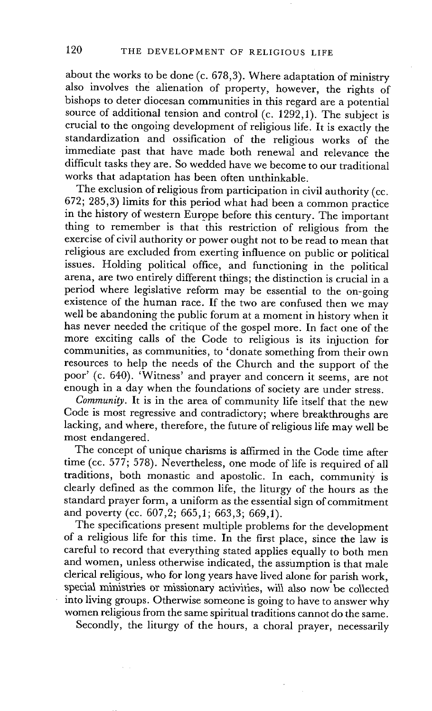about the works to be done (c. 678,3). Where adaptation of ministry also involves the alienation of property, however, the rights of bishops to deter diocesan communities in this regard are a potential source of additional tension and control (c. 1292,1). The subject is crucial to the ongoing development of religious life. It is exactly the standardization and ossification of the religious works of the immediate past that have made both renewal and relevance the difficult tasks they are. So wedded have we become to our traditional works that adaptation has been often unthinkable.

The exclusion of religious from participation in civil authority (cc. 672; 285,3) limits for this period what hadbeen a common practice in the history of western Europe before this century. The important thing to remember is that this restriction of religious from the exercise of civil authority or power ought not to be read to mean that religious are excluded from exerting influence on public or political issues. Holding political office, and functioning in the political arena, are two entirely different things; the distinction is crucial in a period where legislative reform may be essential to the on-going existence of the human race. If the two are confused then we may well be abandoning the public forum at a moment in history when it has never needed the critique of the gospel more. In fact one of the more exciting calls of the Code to religious is its injuction for communities, as communities, to 'donate something from their own resources to help the needs of the Church and the support of the poor' (c. 640). 'Witness' and prayer and concern it seems, are not enough in a day when the foundations of society are under stress.

*Community.* It is in the area of community life itself that the new Code is most regressive and contradictory; where breakthroughs are lacking, and where, therefore, the future of religious life may well be most endangered.

The concept of unique charisms is affirmed in the Code time after time (cc. 577; 578). Nevertheless, one mode of life is required of all traditions, both monastic and apostolic. In each, community is clearly defined as the common life, the liturgy of the hours as the standard prayer form, a uniform as the essential sign of commitment and poverty (cc. 607,2; 665,1; 663,3; 669,1).

The specifications present multiple problems for the development of a religious life for this time. In the first place, since the law is careful to record that everything stated applies equally to both men and women, unless otherwise indicated, the assumption is that male clerical religious, who for long years have lived alone for parish work, special ministries or missionary activities, will also now be collected into living groups. Otherwise someone is going to have to answer why women religious from the same spiritual traditions cannot do the same.

Secondly, the liturgy of the hours, a choral prayer, necessarily